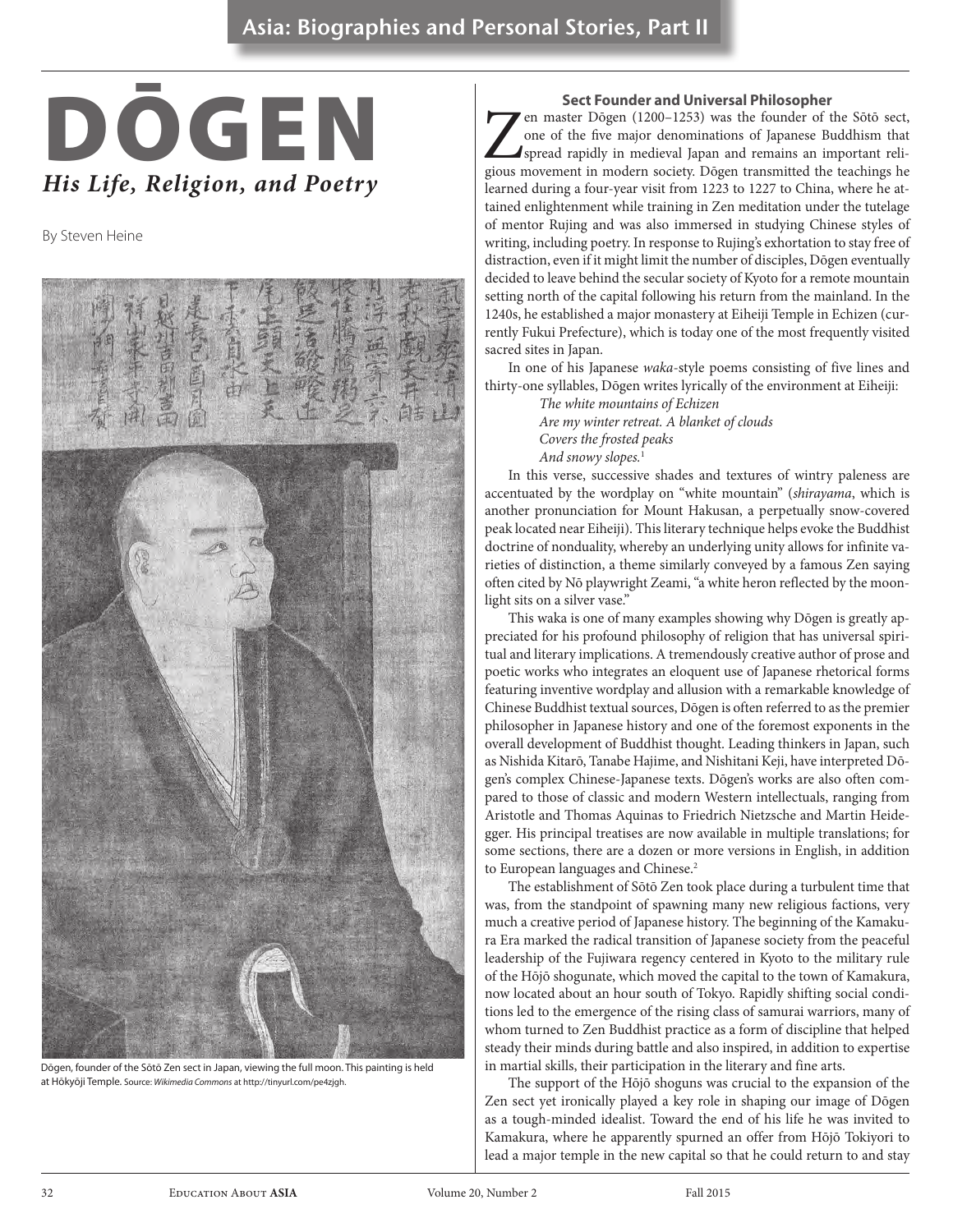# *His Life, Religion, and Poetry* DŌGEN

By Steven Heine



Dōgen, founder of the Sōtō Zen sect in Japan, viewing the full moon. This painting is held at Hōkyōji Temple. Source: *Wikimedia Commons* at http://tinyurl.com/pe4zjgh.

#### **Sect Founder and Universal Philosopher**

en master Dōgen (1200–1253) was the founder of the Sōtō sect, one of the five major denominations of Japanese Buddhism that spread rapidly in medieval Japan and remains an important religious movement in modern society. Dō one of the five major denominations of Japanese Buddhism that spread rapidly in medieval Japan and remains an important religious movement in modern society. Dōgen transmitted the teachings he learned during a four-year visit from 1223 to 1227 to China, where he attained enlightenment while training in Zen meditation under the tutelage of mentor Rujing and was also immersed in studying Chinese styles of writing, including poetry. In response to Rujing's exhortation to stay free of distraction, even if it might limit the number of disciples, Dōgen eventually decided to leave behind the secular society of Kyoto for a remote mountain setting north of the capital following his return from the mainland. In the 1240s, he established a major monastery at Eiheiji Temple in Echizen (currently Fukui Prefecture), which is today one of the most frequently visited sacred sites in Japan.

In one of his Japanese *waka*-style poems consisting of five lines and thirty-one syllables, Dōgen writes lyrically of the environment at Eiheiji:

*The white mountains of Echizen Are my winter retreat. A blanket of clouds Covers the frosted peaks And snowy slopes.*<sup>1</sup>

In this verse, successive shades and textures of wintry paleness are accentuated by the wordplay on "white mountain" (*shirayama*, which is another pronunciation for Mount Hakusan, a perpetually snow-covered peak located near Eiheiji). This literary technique helps evoke the Buddhist doctrine of nonduality, whereby an underlying unity allows for infinite varieties of distinction, a theme similarly conveyed by a famous Zen saying often cited by Nō playwright Zeami, "a white heron reflected by the moonlight sits on a silver vase."

This waka is one of many examples showing why Dōgen is greatly appreciated for his profound philosophy of religion that has universal spiritual and literary implications. A tremendously creative author of prose and poetic works who integrates an eloquent use of Japanese rhetorical forms featuring inventive wordplay and allusion with a remarkable knowledge of Chinese Buddhist textual sources, Dōgen is often referred to as the premier philosopher in Japanese history and one of the foremost exponents in the overall development of Buddhist thought. Leading thinkers in Japan, such as Nishida Kitarō, Tanabe Hajime, and Nishitani Keji, have interpreted Dōgen's complex Chinese-Japanese texts. Dōgen's works are also often compared to those of classic and modern Western intellectuals, ranging from Aristotle and Thomas Aquinas to Friedrich Nietzsche and Martin Heidegger. His principal treatises are now available in multiple translations; for some sections, there are a dozen or more versions in English, in addition to European languages and Chinese.<sup>2</sup>

The establishment of Sōtō Zen took place during a turbulent time that was, from the standpoint of spawning many new religious factions, very much a creative period of Japanese history. The beginning of the Kamakura Era marked the radical transition of Japanese society from the peaceful leadership of the Fujiwara regency centered in Kyoto to the military rule of the Hōjō shogunate, which moved the capital to the town of Kamakura, now located about an hour south of Tokyo. Rapidly shifting social conditions led to the emergence of the rising class of samurai warriors, many of whom turned to Zen Buddhist practice as a form of discipline that helped steady their minds during battle and also inspired, in addition to expertise in martial skills, their participation in the literary and fine arts.

The support of the Hōjō shoguns was crucial to the expansion of the Zen sect yet ironically played a key role in shaping our image of Dōgen as a tough-minded idealist. Toward the end of his life he was invited to Kamakura, where he apparently spurned an offer from Hōjō Tokiyori to lead a major temple in the new capital so that he could return to and stay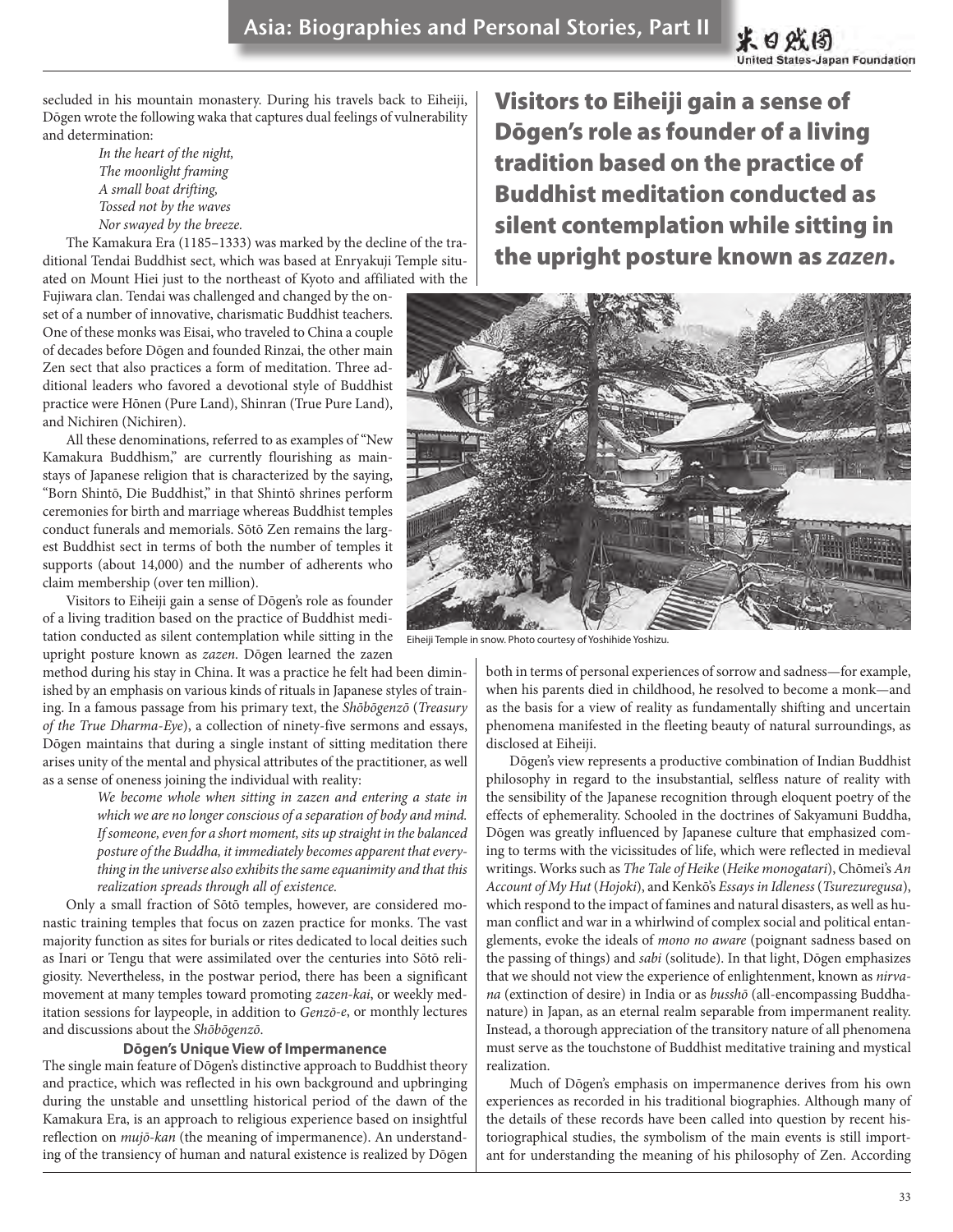secluded in his mountain monastery. During his travels back to Eiheiji, Dōgen wrote the following waka that captures dual feelings of vulnerability and determination:

> *In the heart of the night, The moonlight framing A small boat drifting, Tossed not by the waves Nor swayed by the breeze.*

The Kamakura Era (1185–1333) was marked by the decline of the traditional Tendai Buddhist sect, which was based at Enryakuji Temple situated on Mount Hiei just to the northeast of Kyoto and affiliated with the

Fujiwara clan. Tendai was challenged and changed by the onset of a number of innovative, charismatic Buddhist teachers. One of these monks was Eisai, who traveled to China a couple of decades before Dōgen and founded Rinzai, the other main Zen sect that also practices a form of meditation. Three additional leaders who favored a devotional style of Buddhist practice were Hōnen (Pure Land), Shinran (True Pure Land), and Nichiren (Nichiren).

All these denominations, referred to as examples of "New Kamakura Buddhism," are currently flourishing as mainstays of Japanese religion that is characterized by the saying, "Born Shintō, Die Buddhist," in that Shintō shrines perform ceremonies for birth and marriage whereas Buddhist temples conduct funerals and memorials. Sōtō Zen remains the largest Buddhist sect in terms of both the number of temples it supports (about 14,000) and the number of adherents who claim membership (over ten million).

Visitors to Eiheiji gain a sense of Dōgen's role as founder of a living tradition based on the practice of Buddhist meditation conducted as silent contemplation while sitting in the Eiheiji Temple in snow. Photo courtesy of Yoshihide Yoshizu.upright posture known as *zazen*. Dōgen learned the zazen

method during his stay in China. It was a practice he felt had been diminished by an emphasis on various kinds of rituals in Japanese styles of training. In a famous passage from his primary text, the *Shōbōgenzō* (*Treasury of the True Dharma*-*Eye*), a collection of ninety-five sermons and essays, Dōgen maintains that during a single instant of sitting meditation there arises unity of the mental and physical attributes of the practitioner, as well as a sense of oneness joining the individual with reality:

> *We become whole when sitting in zazen and entering a state in which we are no longer conscious of a separation of body and mind. If someone, even for a short moment, sits up straight in the balanced posture of the Buddha, it immediately becomes apparent that everything in the universe also exhibits the same equanimity and that this realization spreads through all of existence.*

Only a small fraction of Sōtō temples, however, are considered monastic training temples that focus on zazen practice for monks. The vast majority function as sites for burials or rites dedicated to local deities such as Inari or Tengu that were assimilated over the centuries into Sōtō religiosity. Nevertheless, in the postwar period, there has been a significant movement at many temples toward promoting *zazen-kai*, or weekly meditation sessions for laypeople, in addition to *Genzō-e*, or monthly lectures and discussions about the *Shōbōgenzō*.

## **Dōgen's Unique View of Impermanence**

The single main feature of Dōgen's distinctive approach to Buddhist theory and practice, which was reflected in his own background and upbringing during the unstable and unsettling historical period of the dawn of the Kamakura Era, is an approach to religious experience based on insightful reflection on *mujō-kan* (the meaning of impermanence). An understanding of the transiency of human and natural existence is realized by Dōgen

Visitors to Eiheiji gain a sense of Dōgen's role as founder of a living tradition based on the practice of Buddhist meditation conducted as silent contemplation while sitting in the upright posture known as *zazen*.



both in terms of personal experiences of sorrow and sadness—for example, when his parents died in childhood, he resolved to become a monk—and as the basis for a view of reality as fundamentally shifting and uncertain phenomena manifested in the fleeting beauty of natural surroundings, as disclosed at Eiheiji.

Dōgen's view represents a productive combination of Indian Buddhist philosophy in regard to the insubstantial, selfless nature of reality with the sensibility of the Japanese recognition through eloquent poetry of the effects of ephemerality. Schooled in the doctrines of Sakyamuni Buddha, Dōgen was greatly influenced by Japanese culture that emphasized coming to terms with the vicissitudes of life, which were reflected in medieval writings. Works such as *The Tale of Heike* (*Heike monogatari*), Chōmei's *An Account of My Hut* (*Hojoki*), and Kenkō's *Essays in Idleness* (*Tsurezuregusa*), which respond to the impact of famines and natural disasters, as well as human conflict and war in a whirlwind of complex social and political entanglements, evoke the ideals of *mono no aware* (poignant sadness based on the passing of things) and *sabi* (solitude). In that light, Dōgen emphasizes that we should not view the experience of enlightenment, known as *nirvana* (extinction of desire) in India or as *busshō* (all-encompassing Buddhanature) in Japan, as an eternal realm separable from impermanent reality. Instead, a thorough appreciation of the transitory nature of all phenomena must serve as the touchstone of Buddhist meditative training and mystical realization.

Much of Dōgen's emphasis on impermanence derives from his own experiences as recorded in his traditional biographies. Although many of the details of these records have been called into question by recent historiographical studies, the symbolism of the main events is still important for understanding the meaning of his philosophy of Zen. According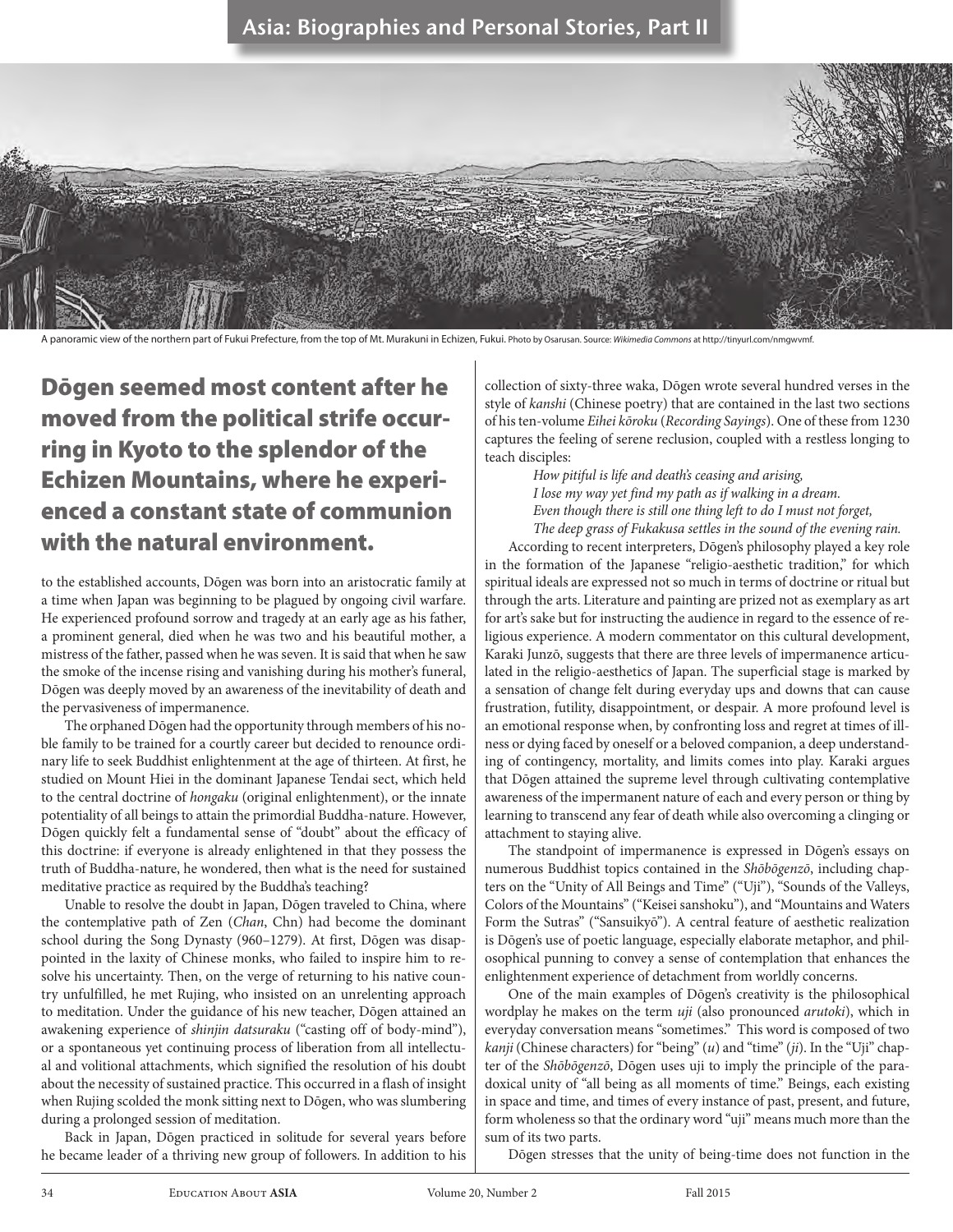## Asia: Biographies and Personal Stories, Part II



A panoramic view of the northern part of Fukui Prefecture, from the top of Mt. Murakuni in Echizen, Fukui. Photo by Osarusan. Source: *Wikimedia Commons* at http://tinyurl.com/nmgwvmf.

Dōgen seemed most content after he moved from the political strife occurring in Kyoto to the splendor of the Echizen Mountains, where he experienced a constant state of communion with the natural environment.

to the established accounts, Dōgen was born into an aristocratic family at a time when Japan was beginning to be plagued by ongoing civil warfare. He experienced profound sorrow and tragedy at an early age as his father, a prominent general, died when he was two and his beautiful mother, a mistress of the father, passed when he was seven. It is said that when he saw the smoke of the incense rising and vanishing during his mother's funeral, Dōgen was deeply moved by an awareness of the inevitability of death and the pervasiveness of impermanence.

The orphaned Dōgen had the opportunity through members of his noble family to be trained for a courtly career but decided to renounce ordinary life to seek Buddhist enlightenment at the age of thirteen. At first, he studied on Mount Hiei in the dominant Japanese Tendai sect, which held to the central doctrine of *hongaku* (original enlightenment), or the innate potentiality of all beings to attain the primordial Buddha-nature. However, Dōgen quickly felt a fundamental sense of "doubt" about the efficacy of this doctrine: if everyone is already enlightened in that they possess the truth of Buddha-nature, he wondered, then what is the need for sustained meditative practice as required by the Buddha's teaching?

Unable to resolve the doubt in Japan, Dōgen traveled to China, where the contemplative path of Zen (*Chan*, Chn) had become the dominant school during the Song Dynasty (960–1279). At first, Dōgen was disappointed in the laxity of Chinese monks, who failed to inspire him to resolve his uncertainty. Then, on the verge of returning to his native country unfulfilled, he met Rujing, who insisted on an unrelenting approach to meditation. Under the guidance of his new teacher, Dōgen attained an awakening experience of *shinjin datsuraku* ("casting off of body-mind"), or a spontaneous yet continuing process of liberation from all intellectual and volitional attachments, which signified the resolution of his doubt about the necessity of sustained practice. This occurred in a flash of insight when Rujing scolded the monk sitting next to Dōgen, who was slumbering during a prolonged session of meditation.

Back in Japan, Dōgen practiced in solitude for several years before he became leader of a thriving new group of followers. In addition to his

collection of sixty-three waka, Dōgen wrote several hundred verses in the style of *kanshi* (Chinese poetry) that are contained in the last two sections of his ten-volume *Eihei kōroku* (*Recording Sayings*). One of these from 1230 captures the feeling of serene reclusion, coupled with a restless longing to teach disciples:

> *How pitiful is life and death's ceasing and arising, I lose my way yet find my path as if walking in a dream. Even though there is still one thing left to do I must not forget, The deep grass of Fukakusa settles in the sound of the evening rain.*

According to recent interpreters, Dōgen's philosophy played a key role in the formation of the Japanese "religio-aesthetic tradition," for which spiritual ideals are expressed not so much in terms of doctrine or ritual but through the arts. Literature and painting are prized not as exemplary as art for art's sake but for instructing the audience in regard to the essence of religious experience. A modern commentator on this cultural development, Karaki Junzō, suggests that there are three levels of impermanence articulated in the religio-aesthetics of Japan. The superficial stage is marked by a sensation of change felt during everyday ups and downs that can cause frustration, futility, disappointment, or despair. A more profound level is an emotional response when, by confronting loss and regret at times of illness or dying faced by oneself or a beloved companion, a deep understanding of contingency, mortality, and limits comes into play. Karaki argues that Dōgen attained the supreme level through cultivating contemplative awareness of the impermanent nature of each and every person or thing by learning to transcend any fear of death while also overcoming a clinging or attachment to staying alive.

The standpoint of impermanence is expressed in Dōgen's essays on numerous Buddhist topics contained in the *Shōbōgenzō*, including chapters on the "Unity of All Beings and Time" ("Uji"), "Sounds of the Valleys, Colors of the Mountains" ("Keisei sanshoku"), and "Mountains and Waters Form the Sutras" ("Sansuikyō"). A central feature of aesthetic realization is Dōgen's use of poetic language, especially elaborate metaphor, and philosophical punning to convey a sense of contemplation that enhances the enlightenment experience of detachment from worldly concerns.

One of the main examples of Dōgen's creativity is the philosophical wordplay he makes on the term *uji* (also pronounced *arutoki*), which in everyday conversation means "sometimes." This word is composed of two *kanji* (Chinese characters) for "being" (*u*) and "time" (*ji*). In the "Uji" chapter of the *Shōbōgenzō*, Dōgen uses uji to imply the principle of the paradoxical unity of "all being as all moments of time." Beings, each existing in space and time, and times of every instance of past, present, and future, form wholeness so that the ordinary word "uji" means much more than the sum of its two parts.

Dōgen stresses that the unity of being-time does not function in the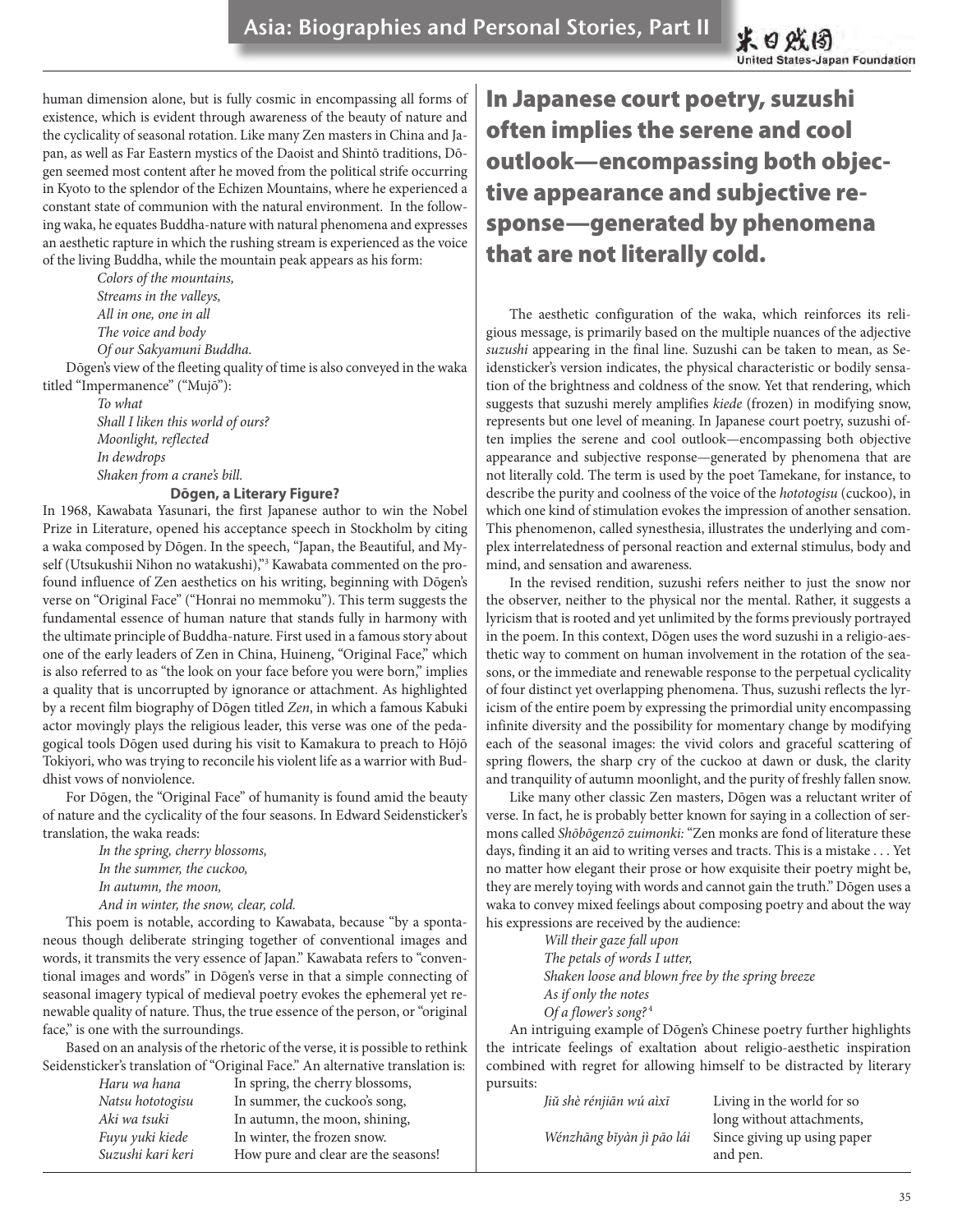human dimension alone, but is fully cosmic in encompassing all forms of existence, which is evident through awareness of the beauty of nature and the cyclicality of seasonal rotation. Like many Zen masters in China and Japan, as well as Far Eastern mystics of the Daoist and Shintō traditions, Dōgen seemed most content after he moved from the political strife occurring in Kyoto to the splendor of the Echizen Mountains, where he experienced a constant state of communion with the natural environment. In the following waka, he equates Buddha-nature with natural phenomena and expresses an aesthetic rapture in which the rushing stream is experienced as the voice of the living Buddha, while the mountain peak appears as his form:

> *Colors of the mountains, Streams in the valleys, All in one, one in all The voice and body Of our Sakyamuni Buddha.*

Dōgen's view of the fleeting quality of time is also conveyed in the waka titled "Impermanence" ("Mujō"):

> *To what Shall I liken this world of ours? Moonlight, reflected In dewdrops Shaken from a crane's bill.*

## **Dōgen, a Literary Figure?**

In 1968, Kawabata Yasunari, the first Japanese author to win the Nobel Prize in Literature, opened his acceptance speech in Stockholm by citing a waka composed by Dōgen. In the speech, "Japan, the Beautiful, and Myself (Utsukushii Nihon no watakushi),"<sup>3</sup> Kawabata commented on the profound influence of Zen aesthetics on his writing, beginning with Dōgen's verse on "Original Face" ("Honrai no memmoku"). This term suggests the fundamental essence of human nature that stands fully in harmony with the ultimate principle of Buddha-nature. First used in a famous story about one of the early leaders of Zen in China, Huineng, "Original Face," which is also referred to as "the look on your face before you were born," implies a quality that is uncorrupted by ignorance or attachment. As highlighted by a recent film biography of Dōgen titled *Zen*, in which a famous Kabuki actor movingly plays the religious leader, this verse was one of the pedagogical tools Dōgen used during his visit to Kamakura to preach to Hōjō Tokiyori, who was trying to reconcile his violent life as a warrior with Buddhist vows of nonviolence.

For Dōgen, the "Original Face" of humanity is found amid the beauty of nature and the cyclicality of the four seasons. In Edward Seidensticker's translation, the waka reads:

> *In the spring, cherry blossoms, In the summer, the cuckoo, In autumn, the moon, And in winter, the snow, clear, cold.*

This poem is notable, according to Kawabata, because "by a spontaneous though deliberate stringing together of conventional images and words, it transmits the very essence of Japan." Kawabata refers to "conventional images and words" in Dōgen's verse in that a simple connecting of seasonal imagery typical of medieval poetry evokes the ephemeral yet renewable quality of nature. Thus, the true essence of the person, or "original face," is one with the surroundings.

Based on an analysis of the rhetoric of the verse, it is possible to rethink Seidensticker's translation of "Original Face." An alternative translation is:

| Haru wa hana      | In spring, the cherry blossoms,     |
|-------------------|-------------------------------------|
| Natsu hototogisu  | In summer, the cuckoo's song,       |
| Aki wa tsuki      | In autumn, the moon, shining,       |
| Fuyu yuki kiede   | In winter, the frozen snow.         |
| Suzushi kari keri | How pure and clear are the seasons! |

In Japanese court poetry, suzushi often implies the serene and cool outlook—encompassing both objective appearance and subjective response—generated by phenomena that are not literally cold.

The aesthetic configuration of the waka, which reinforces its religious message, is primarily based on the multiple nuances of the adjective *suzushi* appearing in the final line. Suzushi can be taken to mean, as Seidensticker's version indicates, the physical characteristic or bodily sensation of the brightness and coldness of the snow. Yet that rendering, which suggests that suzushi merely amplifies *kiede* (frozen) in modifying snow, represents but one level of meaning. In Japanese court poetry, suzushi often implies the serene and cool outlook—encompassing both objective appearance and subjective response—generated by phenomena that are not literally cold. The term is used by the poet Tamekane, for instance, to describe the purity and coolness of the voice of the *hototogisu* (cuckoo), in which one kind of stimulation evokes the impression of another sensation. This phenomenon, called synesthesia, illustrates the underlying and complex interrelatedness of personal reaction and external stimulus, body and mind, and sensation and awareness.

In the revised rendition, suzushi refers neither to just the snow nor the observer, neither to the physical nor the mental. Rather, it suggests a lyricism that is rooted and yet unlimited by the forms previously portrayed in the poem. In this context, Dōgen uses the word suzushi in a religio-aesthetic way to comment on human involvement in the rotation of the seasons, or the immediate and renewable response to the perpetual cyclicality of four distinct yet overlapping phenomena. Thus, suzushi reflects the lyricism of the entire poem by expressing the primordial unity encompassing infinite diversity and the possibility for momentary change by modifying each of the seasonal images: the vivid colors and graceful scattering of spring flowers, the sharp cry of the cuckoo at dawn or dusk, the clarity and tranquility of autumn moonlight, and the purity of freshly fallen snow.

Like many other classic Zen masters, Dōgen was a reluctant writer of verse. In fact, he is probably better known for saying in a collection of sermons called *Shōbōgenzō zuimonki:* "Zen monks are fond of literature these days, finding it an aid to writing verses and tracts. This is a mistake . . . Yet no matter how elegant their prose or how exquisite their poetry might be, they are merely toying with words and cannot gain the truth." Dōgen uses a waka to convey mixed feelings about composing poetry and about the way his expressions are received by the audience:

*Will their gaze fall upon The petals of words I utter, Shaken loose and blown free by the spring breeze As if only the notes Of a flower's song?*<sup>4</sup>

An intriguing example of Dōgen's Chinese poetry further highlights the intricate feelings of exaltation about religio-aesthetic inspiration combined with regret for allowing himself to be distracted by literary pursuits:

| Jiŭ shè rénjiān wú aìxī   | Living in the world for so  |
|---------------------------|-----------------------------|
|                           | long without attachments,   |
| Wénzhāng bĭyàn jì pāo lái | Since giving up using paper |
|                           | and pen.                    |